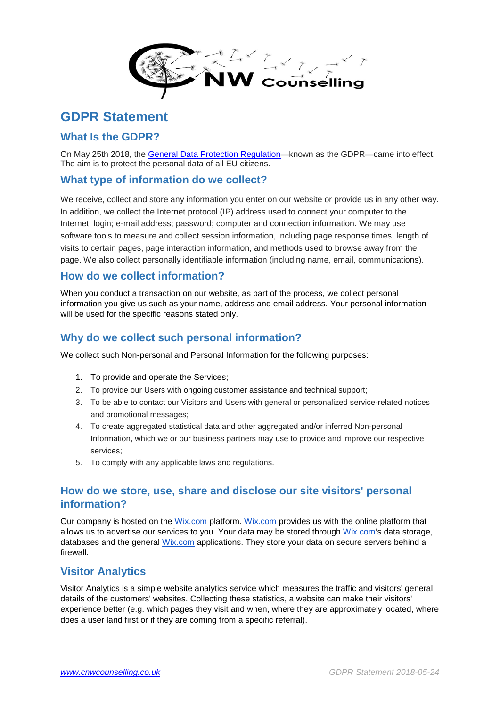

# **GDPR Statement**

#### **What Is the GDPR?**

On May 25th 2018, the [General Data Protection Regulation—](https://emails.wix.com/pub/cc?_ri_=X0Gzc2X%3DYQpglLjHJlTQGo6FNTqpdm3ckJr3zcdOPKBMpsRBsRULzbC7zdm74iSFNzckb9kU4vnwgkzaspgApyzc0KDUsVXtpKX%3DACARUWT&_ei_=EoAXGOqMseYPTVwQVkZXLNkXD0izX8LOtTEtVoPkUH6a1LuYiImtt0yyYfNYdfJaf_uSM47fX2L_jye6Jp4bAlEo-VT9oq5VWrKYSdt-_x0nHaHCht8THh5QvW5G3iQylzb7gnsY26Vg7IrpKs-W4WZIveAIp8UDV4XMSx2ezveu-as8Zm3EM92oF8y_-0p5Pz_NUdQqlG2eqCEEXv2XToJPQXZ8AmdpRpFzhmwrQ7c967Hrhwa8PgrBNk-KXaCRNu6md-cHdim_iAwu5p-aae9_gNN38z_6V0ai5MhFU_b_zSJPrE06GGL5vCMhZhyKVI-_Wu9mvWHkFWyikKaAw7-zONP9NFNIZe-XstlXLwqQIeqT0v1ZMJhR_MG8bQsu0AjAkKEOKJsdm_LY_BxxxI4AfLFYQpL6iWAS_ynjeGFCy-65VsWXr4nW.)known as the GDPR—came into effect. The aim is to protect the personal data of all EU citizens.

#### **What type of information do we collect?**

We receive, collect and store any information you enter on our website or provide us in any other way. In addition, we collect the Internet protocol (IP) address used to connect your computer to the Internet; login; e-mail address; password; computer and connection information. We may use software tools to measure and collect session information, including page response times, length of visits to certain pages, page interaction information, and methods used to browse away from the page. We also collect personally identifiable information (including name, email, communications).

#### **How do we collect information?**

When you conduct a transaction on our website, as part of the process, we collect personal information you give us such as your name, address and email address. Your personal information will be used for the specific reasons stated only.

#### **Why do we collect such personal information?**

We collect such Non-personal and Personal Information for the following purposes:

- 1. To provide and operate the Services;
- 2. To provide our Users with ongoing customer assistance and technical support;
- 3. To be able to contact our Visitors and Users with general or personalized service-related notices and promotional messages;
- 4. To create aggregated statistical data and other aggregated and/or inferred Non-personal Information, which we or our business partners may use to provide and improve our respective services;
- 5. To comply with any applicable laws and regulations.

# **How do we store, use, share and disclose our site visitors' personal information?**

Our company is hosted on the [Wix.com](http://wix.com/) platform. [Wix.com](http://wix.com/) provides us with the online platform that allows us to advertise our services to you. Your data may be stored through [Wix.com'](http://wix.com/)s data storage, databases and the general [Wix.com](http://wix.com/) applications. They store your data on secure servers behind a firewall.

# **Visitor Analytics**

Visitor Analytics is a simple website analytics service which measures the traffic and visitors' general details of the customers' websites. Collecting these statistics, a website can make their visitors' experience better (e.g. which pages they visit and when, where they are approximately located, where does a user land first or if they are coming from a specific referral).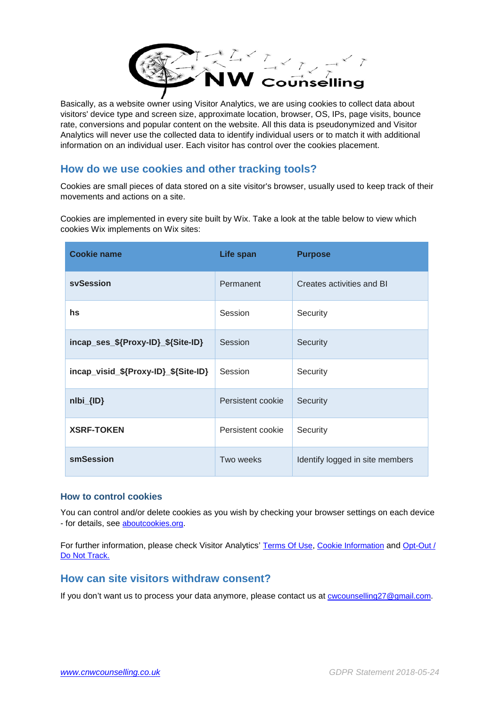

Basically, as a website owner using Visitor Analytics, we are using cookies to collect data about visitors' device type and screen size, approximate location, browser, OS, IPs, page visits, bounce rate, conversions and popular content on the website. All this data is pseudonymized and Visitor Analytics will never use the collected data to identify individual users or to match it with additional information on an individual user. Each visitor has control over the cookies placement.

# **How do we use cookies and other tracking tools?**

Cookies are small pieces of data stored on a site visitor's browser, usually used to keep track of their movements and actions on a site.

Cookies are implemented in every site built by Wix. Take a look at the table below to view which cookies Wix implements on Wix sites:

| <b>Cookie name</b>                   | Life span         | <b>Purpose</b>                  |
|--------------------------------------|-------------------|---------------------------------|
| svSession                            | Permanent         | Creates activities and BI       |
| hs                                   | Session           | Security                        |
| incap_ses_\${Proxy-ID}_\${Site-ID}   | Session           | Security                        |
| incap_visid_\${Proxy-ID}_\${Site-ID} | Session           | Security                        |
| nlbi_{ID}                            | Persistent cookie | Security                        |
| <b>XSRF-TOKEN</b>                    | Persistent cookie | Security                        |
| smSession                            | Two weeks         | Identify logged in site members |

#### **How to control cookies**

You can control and/or delete cookies as you wish by checking your browser settings on each device - for details, see [aboutcookies.org.](https://www.aboutcookies.org/)

For further information, please check Visitor Analytics' [Terms Of Use,](https://www.visitor-analytics.io/wix-terms-of-use) [Cookie Information](https://www.visitor-analytics.io/cookie-information) and Opt-Out / [Do Not Track.](https://www.visitor-analytics.io/wix-opt-out-do-not-track)

#### **How can site visitors withdraw consent?**

If you don't want us to process your data anymore, please contact us at [cwcounselling27@gmail.com.](mailto:cwcounselling27@gmail.com)